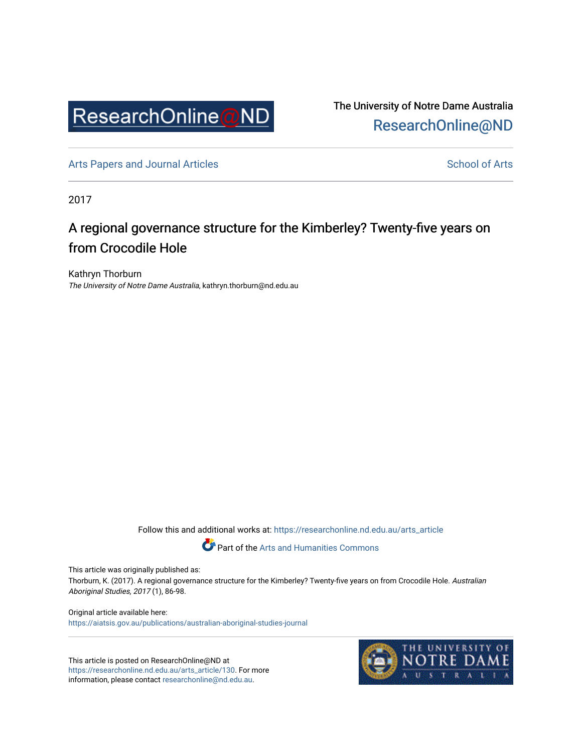

The University of Notre Dame Australia [ResearchOnline@ND](https://researchonline.nd.edu.au/) 

[Arts Papers and Journal Articles](https://researchonline.nd.edu.au/arts_article) and [School of Arts](https://researchonline.nd.edu.au/arts) School of Arts

2017

## A regional governance structure for the Kimberley? Twenty-five years on from Crocodile Hole

Kathryn Thorburn The University of Notre Dame Australia, kathryn.thorburn@nd.edu.au

Follow this and additional works at: [https://researchonline.nd.edu.au/arts\\_article](https://researchonline.nd.edu.au/arts_article?utm_source=researchonline.nd.edu.au%2Farts_article%2F130&utm_medium=PDF&utm_campaign=PDFCoverPages) 

Part of the [Arts and Humanities Commons](http://network.bepress.com/hgg/discipline/438?utm_source=researchonline.nd.edu.au%2Farts_article%2F130&utm_medium=PDF&utm_campaign=PDFCoverPages) 

This article was originally published as:

Thorburn, K. (2017). A regional governance structure for the Kimberley? Twenty-five years on from Crocodile Hole. Australian Aboriginal Studies, 2017 (1), 86-98.

Original article available here: <https://aiatsis.gov.au/publications/australian-aboriginal-studies-journal>

This article is posted on ResearchOnline@ND at [https://researchonline.nd.edu.au/arts\\_article/130](https://researchonline.nd.edu.au/arts_article/130). For more information, please contact [researchonline@nd.edu.au.](mailto:researchonline@nd.edu.au)

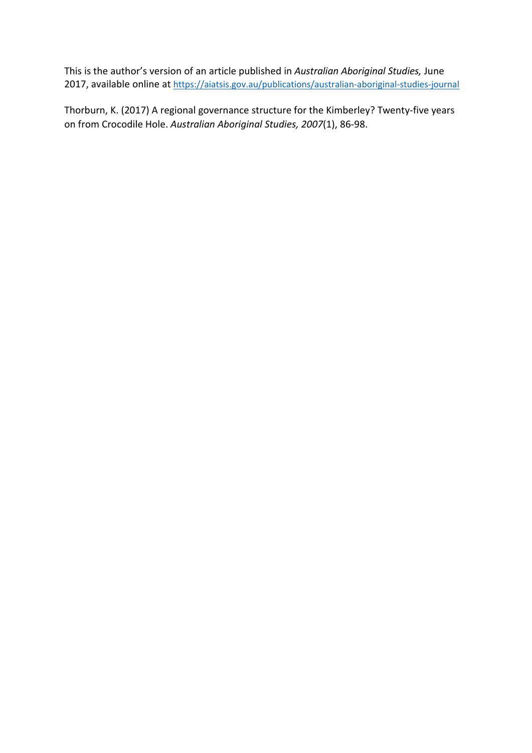This is the author's version of an article published in *Australian Aboriginal Studies,* June 2017, available online at https://aiatsis.gov.au/publications/australian-aboriginal-studies-journal

Thorburn, K. (2017) A regional governance structure for the Kimberley? Twenty-five years on from Crocodile Hole. *Australian Aboriginal Studies, 2007*(1), 86-98.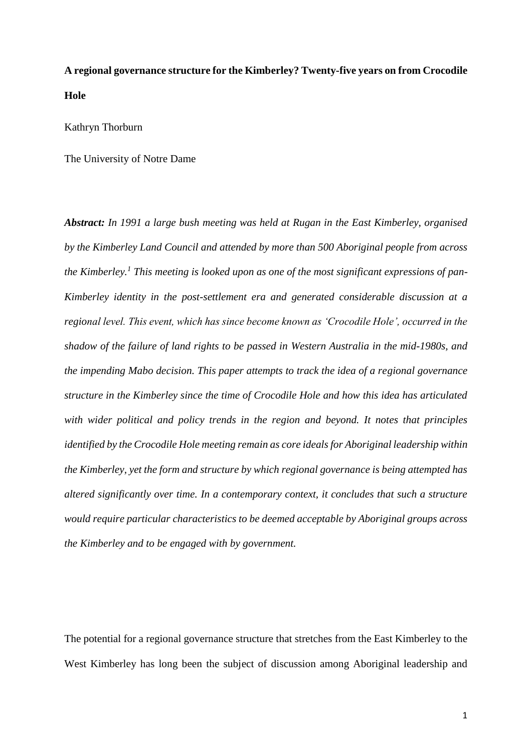# **A regional governance structure for the Kimberley? Twenty-five years on from Crocodile Hole**

Kathryn Thorburn

The University of Notre Dame

*Abstract: In 1991 a large bush meeting was held at Rugan in the East Kimberley, organised by the Kimberley Land Council and attended by more than 500 Aboriginal people from across the Kimberley.<sup>1</sup> This meeting is looked upon as one of the most significant expressions of pan-Kimberley identity in the post-settlement era and generated considerable discussion at a regional level. This event, which has since become known as 'Crocodile Hole', occurred in the shadow of the failure of land rights to be passed in Western Australia in the mid-1980s, and the impending Mabo decision. This paper attempts to track the idea of a regional governance structure in the Kimberley since the time of Crocodile Hole and how this idea has articulated with wider political and policy trends in the region and beyond. It notes that principles identified by the Crocodile Hole meeting remain as core ideals for Aboriginal leadership within the Kimberley, yet the form and structure by which regional governance is being attempted has altered significantly over time. In a contemporary context, it concludes that such a structure would require particular characteristics to be deemed acceptable by Aboriginal groups across the Kimberley and to be engaged with by government.* 

The potential for a regional governance structure that stretches from the East Kimberley to the West Kimberley has long been the subject of discussion among Aboriginal leadership and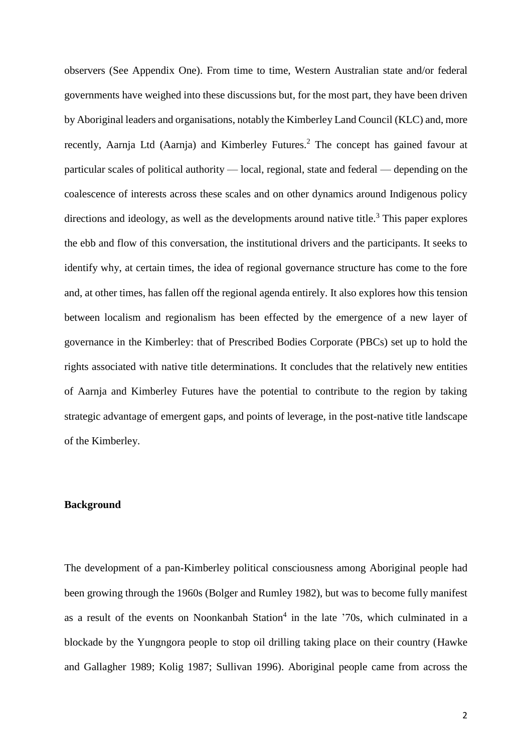observers (See Appendix One). From time to time, Western Australian state and/or federal governments have weighed into these discussions but, for the most part, they have been driven by Aboriginal leaders and organisations, notably the Kimberley Land Council (KLC) and, more recently, Aarnja Ltd (Aarnja) and Kimberley Futures.<sup>2</sup> The concept has gained favour at particular scales of political authority — local, regional, state and federal — depending on the coalescence of interests across these scales and on other dynamics around Indigenous policy directions and ideology, as well as the developments around native title.<sup>3</sup> This paper explores the ebb and flow of this conversation, the institutional drivers and the participants. It seeks to identify why, at certain times, the idea of regional governance structure has come to the fore and, at other times, has fallen off the regional agenda entirely. It also explores how this tension between localism and regionalism has been effected by the emergence of a new layer of governance in the Kimberley: that of Prescribed Bodies Corporate (PBCs) set up to hold the rights associated with native title determinations. It concludes that the relatively new entities of Aarnja and Kimberley Futures have the potential to contribute to the region by taking strategic advantage of emergent gaps, and points of leverage, in the post-native title landscape of the Kimberley.

## **Background**

The development of a pan-Kimberley political consciousness among Aboriginal people had been growing through the 1960s (Bolger and Rumley 1982), but was to become fully manifest as a result of the events on Noonkanbah Station $4$  in the late '70s, which culminated in a blockade by the Yungngora people to stop oil drilling taking place on their country (Hawke and Gallagher 1989; Kolig 1987; Sullivan 1996). Aboriginal people came from across the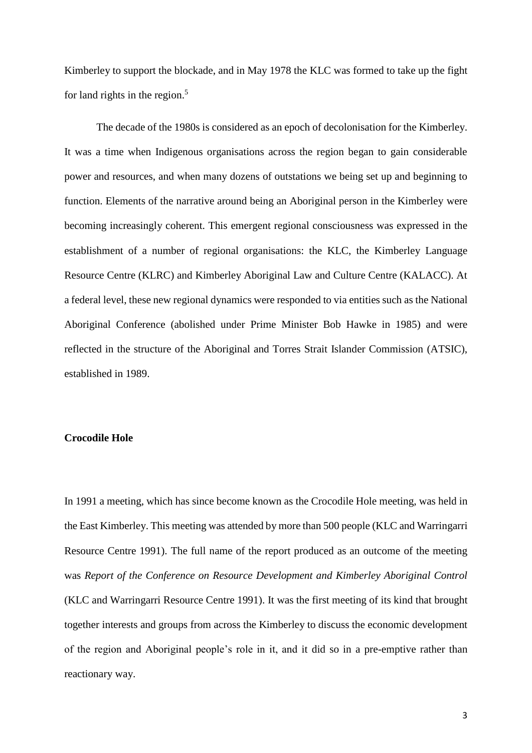Kimberley to support the blockade, and in May 1978 the KLC was formed to take up the fight for land rights in the region. $5$ 

The decade of the 1980s is considered as an epoch of decolonisation for the Kimberley. It was a time when Indigenous organisations across the region began to gain considerable power and resources, and when many dozens of outstations we being set up and beginning to function. Elements of the narrative around being an Aboriginal person in the Kimberley were becoming increasingly coherent. This emergent regional consciousness was expressed in the establishment of a number of regional organisations: the KLC, the Kimberley Language Resource Centre (KLRC) and Kimberley Aboriginal Law and Culture Centre (KALACC). At a federal level, these new regional dynamics were responded to via entities such as the National Aboriginal Conference (abolished under Prime Minister Bob Hawke in 1985) and were reflected in the structure of the Aboriginal and Torres Strait Islander Commission (ATSIC), established in 1989.

## **Crocodile Hole**

In 1991 a meeting, which has since become known as the Crocodile Hole meeting, was held in the East Kimberley. This meeting was attended by more than 500 people (KLC and Warringarri Resource Centre 1991). The full name of the report produced as an outcome of the meeting was *Report of the Conference on Resource Development and Kimberley Aboriginal Control* (KLC and Warringarri Resource Centre 1991). It was the first meeting of its kind that brought together interests and groups from across the Kimberley to discuss the economic development of the region and Aboriginal people's role in it, and it did so in a pre-emptive rather than reactionary way.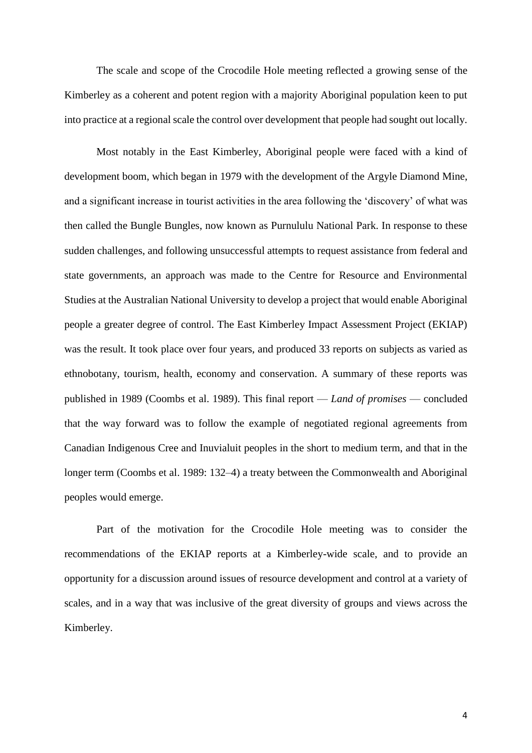The scale and scope of the Crocodile Hole meeting reflected a growing sense of the Kimberley as a coherent and potent region with a majority Aboriginal population keen to put into practice at a regional scale the control over development that people had sought out locally.

Most notably in the East Kimberley, Aboriginal people were faced with a kind of development boom, which began in 1979 with the development of the Argyle Diamond Mine, and a significant increase in tourist activities in the area following the 'discovery' of what was then called the Bungle Bungles, now known as Purnululu National Park. In response to these sudden challenges, and following unsuccessful attempts to request assistance from federal and state governments, an approach was made to the Centre for Resource and Environmental Studies at the Australian National University to develop a project that would enable Aboriginal people a greater degree of control. The East Kimberley Impact Assessment Project (EKIAP) was the result. It took place over four years, and produced 33 reports on subjects as varied as ethnobotany, tourism, health, economy and conservation. A summary of these reports was published in 1989 (Coombs et al. 1989). This final report — *Land of promises* — concluded that the way forward was to follow the example of negotiated regional agreements from Canadian Indigenous Cree and Inuvialuit peoples in the short to medium term, and that in the longer term (Coombs et al. 1989: 132–4) a treaty between the Commonwealth and Aboriginal peoples would emerge.

Part of the motivation for the Crocodile Hole meeting was to consider the recommendations of the EKIAP reports at a Kimberley-wide scale, and to provide an opportunity for a discussion around issues of resource development and control at a variety of scales, and in a way that was inclusive of the great diversity of groups and views across the Kimberley.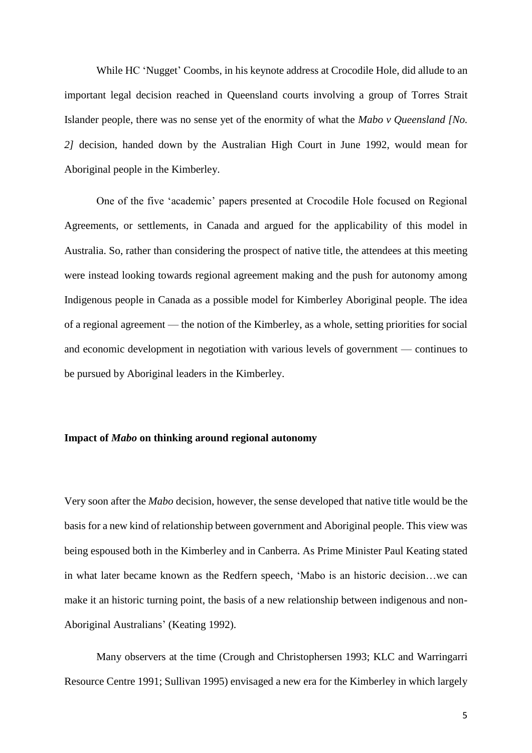While HC 'Nugget' Coombs, in his keynote address at Crocodile Hole, did allude to an important legal decision reached in Queensland courts involving a group of Torres Strait Islander people, there was no sense yet of the enormity of what the *Mabo v Queensland [No. 2]* decision, handed down by the Australian High Court in June 1992, would mean for Aboriginal people in the Kimberley.

One of the five 'academic' papers presented at Crocodile Hole focused on Regional Agreements, or settlements, in Canada and argued for the applicability of this model in Australia. So, rather than considering the prospect of native title, the attendees at this meeting were instead looking towards regional agreement making and the push for autonomy among Indigenous people in Canada as a possible model for Kimberley Aboriginal people. The idea of a regional agreement — the notion of the Kimberley, as a whole, setting priorities for social and economic development in negotiation with various levels of government — continues to be pursued by Aboriginal leaders in the Kimberley.

## **Impact of** *Mabo* **on thinking around regional autonomy**

Very soon after the *Mabo* decision, however, the sense developed that native title would be the basis for a new kind of relationship between government and Aboriginal people. This view was being espoused both in the Kimberley and in Canberra. As Prime Minister Paul Keating stated in what later became known as the Redfern speech, 'Mabo is an historic decision…we can make it an historic turning point, the basis of a new relationship between indigenous and non-Aboriginal Australians' (Keating 1992).

Many observers at the time (Crough and Christophersen 1993; KLC and Warringarri Resource Centre 1991; Sullivan 1995) envisaged a new era for the Kimberley in which largely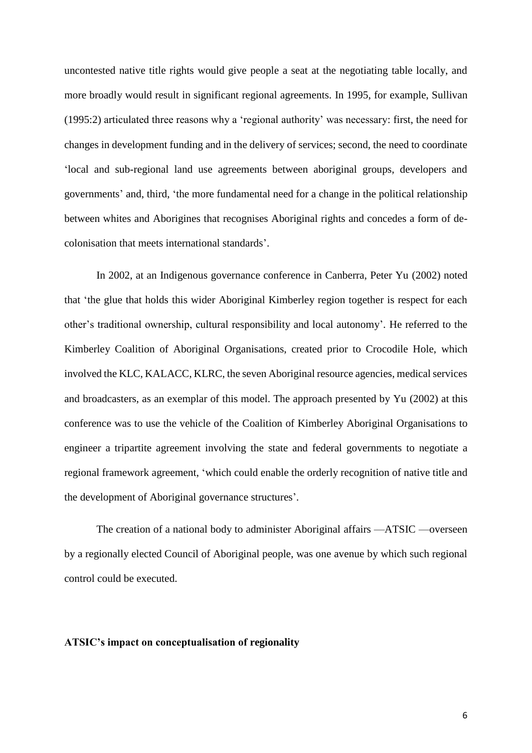uncontested native title rights would give people a seat at the negotiating table locally, and more broadly would result in significant regional agreements. In 1995, for example, Sullivan (1995:2) articulated three reasons why a 'regional authority' was necessary: first, the need for changes in development funding and in the delivery of services; second, the need to coordinate 'local and sub-regional land use agreements between aboriginal groups, developers and governments' and, third, 'the more fundamental need for a change in the political relationship between whites and Aborigines that recognises Aboriginal rights and concedes a form of decolonisation that meets international standards'.

In 2002, at an Indigenous governance conference in Canberra, Peter Yu (2002) noted that 'the glue that holds this wider Aboriginal Kimberley region together is respect for each other's traditional ownership, cultural responsibility and local autonomy'. He referred to the Kimberley Coalition of Aboriginal Organisations, created prior to Crocodile Hole, which involved the KLC, KALACC, KLRC, the seven Aboriginal resource agencies, medical services and broadcasters, as an exemplar of this model. The approach presented by Yu (2002) at this conference was to use the vehicle of the Coalition of Kimberley Aboriginal Organisations to engineer a tripartite agreement involving the state and federal governments to negotiate a regional framework agreement, 'which could enable the orderly recognition of native title and the development of Aboriginal governance structures'.

The creation of a national body to administer Aboriginal affairs —ATSIC —overseen by a regionally elected Council of Aboriginal people, was one avenue by which such regional control could be executed.

## **ATSIC's impact on conceptualisation of regionality**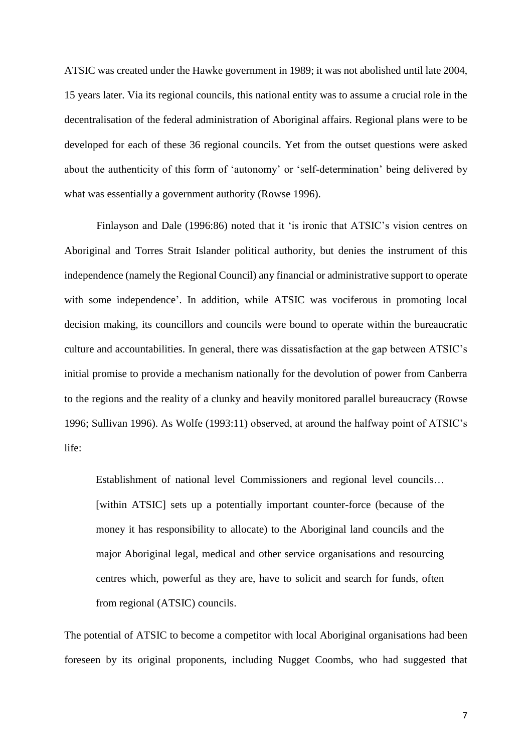ATSIC was created under the Hawke government in 1989; it was not abolished until late 2004, 15 years later. Via its regional councils, this national entity was to assume a crucial role in the decentralisation of the federal administration of Aboriginal affairs. Regional plans were to be developed for each of these 36 regional councils. Yet from the outset questions were asked about the authenticity of this form of 'autonomy' or 'self-determination' being delivered by what was essentially a government authority (Rowse 1996).

Finlayson and Dale (1996:86) noted that it 'is ironic that ATSIC's vision centres on Aboriginal and Torres Strait Islander political authority, but denies the instrument of this independence (namely the Regional Council) any financial or administrative support to operate with some independence'. In addition, while ATSIC was vociferous in promoting local decision making, its councillors and councils were bound to operate within the bureaucratic culture and accountabilities. In general, there was dissatisfaction at the gap between ATSIC's initial promise to provide a mechanism nationally for the devolution of power from Canberra to the regions and the reality of a clunky and heavily monitored parallel bureaucracy (Rowse 1996; Sullivan 1996). As Wolfe (1993:11) observed, at around the halfway point of ATSIC's life:

Establishment of national level Commissioners and regional level councils… [within ATSIC] sets up a potentially important counter-force (because of the money it has responsibility to allocate) to the Aboriginal land councils and the major Aboriginal legal, medical and other service organisations and resourcing centres which, powerful as they are, have to solicit and search for funds, often from regional (ATSIC) councils.

The potential of ATSIC to become a competitor with local Aboriginal organisations had been foreseen by its original proponents, including Nugget Coombs, who had suggested that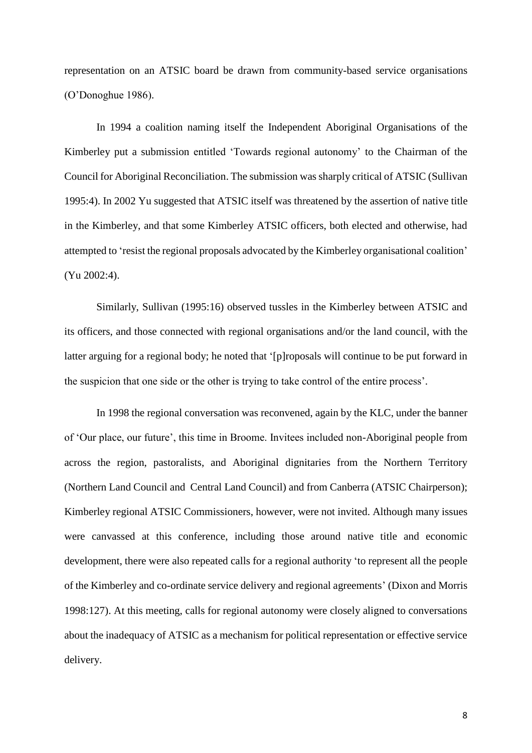representation on an ATSIC board be drawn from community-based service organisations (O'Donoghue 1986).

In 1994 a coalition naming itself the Independent Aboriginal Organisations of the Kimberley put a submission entitled 'Towards regional autonomy' to the Chairman of the Council for Aboriginal Reconciliation. The submission wassharply critical of ATSIC (Sullivan 1995:4). In 2002 Yu suggested that ATSIC itself was threatened by the assertion of native title in the Kimberley, and that some Kimberley ATSIC officers, both elected and otherwise, had attempted to 'resist the regional proposals advocated by the Kimberley organisational coalition' (Yu 2002:4).

Similarly, Sullivan (1995:16) observed tussles in the Kimberley between ATSIC and its officers, and those connected with regional organisations and/or the land council, with the latter arguing for a regional body; he noted that '[p]roposals will continue to be put forward in the suspicion that one side or the other is trying to take control of the entire process'.

In 1998 the regional conversation was reconvened, again by the KLC, under the banner of 'Our place, our future', this time in Broome. Invitees included non-Aboriginal people from across the region, pastoralists, and Aboriginal dignitaries from the Northern Territory (Northern Land Council and Central Land Council) and from Canberra (ATSIC Chairperson); Kimberley regional ATSIC Commissioners, however, were not invited. Although many issues were canvassed at this conference, including those around native title and economic development, there were also repeated calls for a regional authority 'to represent all the people of the Kimberley and co-ordinate service delivery and regional agreements' (Dixon and Morris 1998:127). At this meeting, calls for regional autonomy were closely aligned to conversations about the inadequacy of ATSIC as a mechanism for political representation or effective service delivery.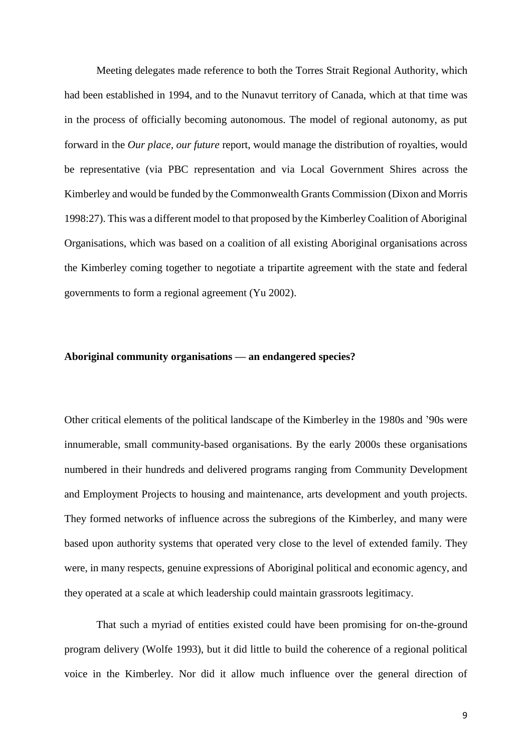Meeting delegates made reference to both the Torres Strait Regional Authority, which had been established in 1994, and to the Nunavut territory of Canada, which at that time was in the process of officially becoming autonomous. The model of regional autonomy, as put forward in the *Our place, our future* report, would manage the distribution of royalties, would be representative (via PBC representation and via Local Government Shires across the Kimberley and would be funded by the Commonwealth Grants Commission (Dixon and Morris 1998:27). This was a different model to that proposed by the Kimberley Coalition of Aboriginal Organisations, which was based on a coalition of all existing Aboriginal organisations across the Kimberley coming together to negotiate a tripartite agreement with the state and federal governments to form a regional agreement (Yu 2002).

#### **Aboriginal community organisations — an endangered species?**

Other critical elements of the political landscape of the Kimberley in the 1980s and '90s were innumerable, small community-based organisations. By the early 2000s these organisations numbered in their hundreds and delivered programs ranging from Community Development and Employment Projects to housing and maintenance, arts development and youth projects. They formed networks of influence across the subregions of the Kimberley, and many were based upon authority systems that operated very close to the level of extended family. They were, in many respects, genuine expressions of Aboriginal political and economic agency, and they operated at a scale at which leadership could maintain grassroots legitimacy.

That such a myriad of entities existed could have been promising for on-the-ground program delivery (Wolfe 1993), but it did little to build the coherence of a regional political voice in the Kimberley. Nor did it allow much influence over the general direction of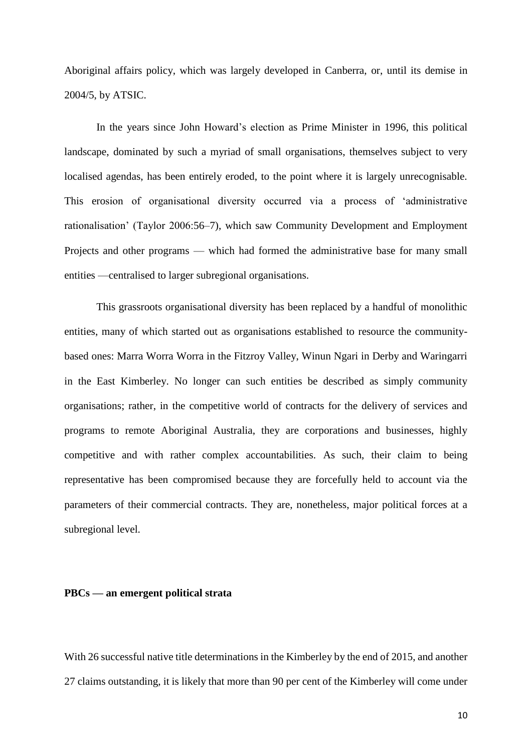Aboriginal affairs policy, which was largely developed in Canberra, or, until its demise in 2004/5, by ATSIC.

In the years since John Howard's election as Prime Minister in 1996, this political landscape, dominated by such a myriad of small organisations, themselves subject to very localised agendas, has been entirely eroded, to the point where it is largely unrecognisable. This erosion of organisational diversity occurred via a process of 'administrative rationalisation' (Taylor 2006:56–7), which saw Community Development and Employment Projects and other programs — which had formed the administrative base for many small entities —centralised to larger subregional organisations.

This grassroots organisational diversity has been replaced by a handful of monolithic entities, many of which started out as organisations established to resource the communitybased ones: Marra Worra Worra in the Fitzroy Valley, Winun Ngari in Derby and Waringarri in the East Kimberley. No longer can such entities be described as simply community organisations; rather, in the competitive world of contracts for the delivery of services and programs to remote Aboriginal Australia, they are corporations and businesses, highly competitive and with rather complex accountabilities. As such, their claim to being representative has been compromised because they are forcefully held to account via the parameters of their commercial contracts. They are, nonetheless, major political forces at a subregional level.

## **PBCs — an emergent political strata**

With 26 successful native title determinations in the Kimberley by the end of 2015, and another 27 claims outstanding, it is likely that more than 90 per cent of the Kimberley will come under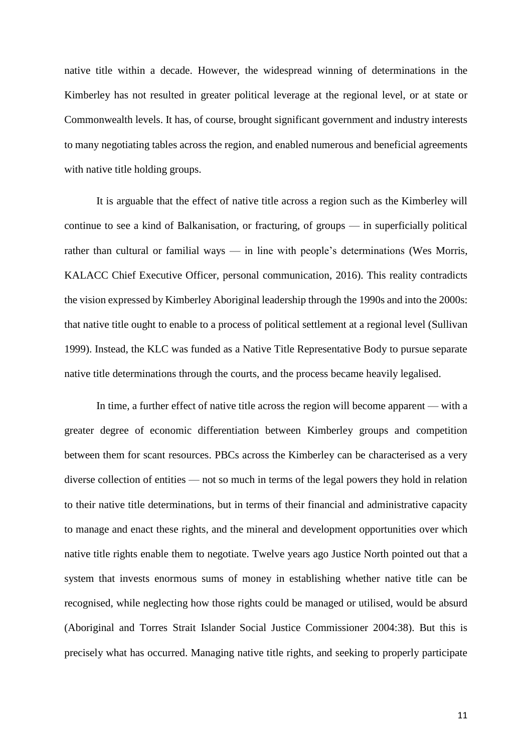native title within a decade. However, the widespread winning of determinations in the Kimberley has not resulted in greater political leverage at the regional level, or at state or Commonwealth levels. It has, of course, brought significant government and industry interests to many negotiating tables across the region, and enabled numerous and beneficial agreements with native title holding groups.

It is arguable that the effect of native title across a region such as the Kimberley will continue to see a kind of Balkanisation, or fracturing, of groups — in superficially political rather than cultural or familial ways — in line with people's determinations (Wes Morris, KALACC Chief Executive Officer, personal communication, 2016). This reality contradicts the vision expressed by Kimberley Aboriginal leadership through the 1990s and into the 2000s: that native title ought to enable to a process of political settlement at a regional level (Sullivan 1999). Instead, the KLC was funded as a Native Title Representative Body to pursue separate native title determinations through the courts, and the process became heavily legalised.

In time, a further effect of native title across the region will become apparent — with a greater degree of economic differentiation between Kimberley groups and competition between them for scant resources. PBCs across the Kimberley can be characterised as a very diverse collection of entities — not so much in terms of the legal powers they hold in relation to their native title determinations, but in terms of their financial and administrative capacity to manage and enact these rights, and the mineral and development opportunities over which native title rights enable them to negotiate. Twelve years ago Justice North pointed out that a system that invests enormous sums of money in establishing whether native title can be recognised, while neglecting how those rights could be managed or utilised, would be absurd (Aboriginal and Torres Strait Islander Social Justice Commissioner 2004:38). But this is precisely what has occurred. Managing native title rights, and seeking to properly participate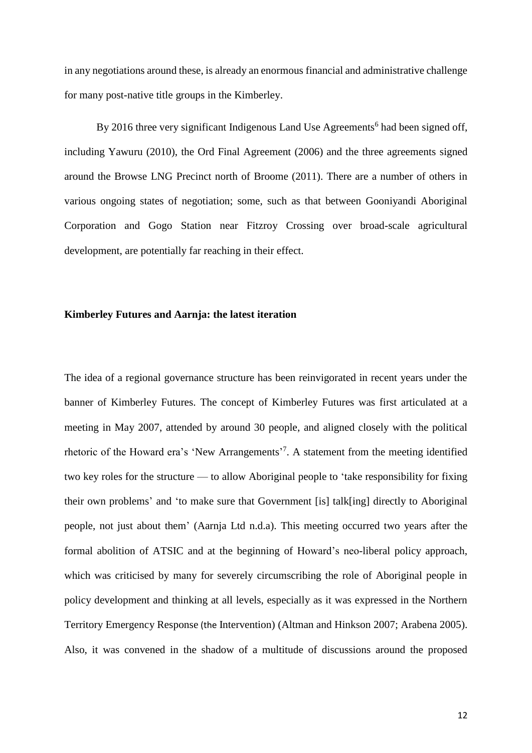in any negotiations around these, is already an enormous financial and administrative challenge for many post-native title groups in the Kimberley.

By 2016 three very significant Indigenous Land Use Agreements<sup>6</sup> had been signed off, including Yawuru (2010), the Ord Final Agreement (2006) and the three agreements signed around the Browse LNG Precinct north of Broome (2011). There are a number of others in various ongoing states of negotiation; some, such as that between Gooniyandi Aboriginal Corporation and Gogo Station near Fitzroy Crossing over broad-scale agricultural development, are potentially far reaching in their effect.

#### **Kimberley Futures and Aarnja: the latest iteration**

The idea of a regional governance structure has been reinvigorated in recent years under the banner of Kimberley Futures. The concept of Kimberley Futures was first articulated at a meeting in May 2007, attended by around 30 people, and aligned closely with the political rhetoric of the Howard era's 'New Arrangements'<sup>7</sup>. A statement from the meeting identified two key roles for the structure — to allow Aboriginal people to 'take responsibility for fixing their own problems' and 'to make sure that Government [is] talk[ing] directly to Aboriginal people, not just about them' (Aarnja Ltd n.d.a). This meeting occurred two years after the formal abolition of ATSIC and at the beginning of Howard's neo-liberal policy approach, which was criticised by many for severely circumscribing the role of Aboriginal people in policy development and thinking at all levels, especially as it was expressed in the Northern Territory Emergency Response (the Intervention) (Altman and Hinkson 2007; Arabena 2005). Also, it was convened in the shadow of a multitude of discussions around the proposed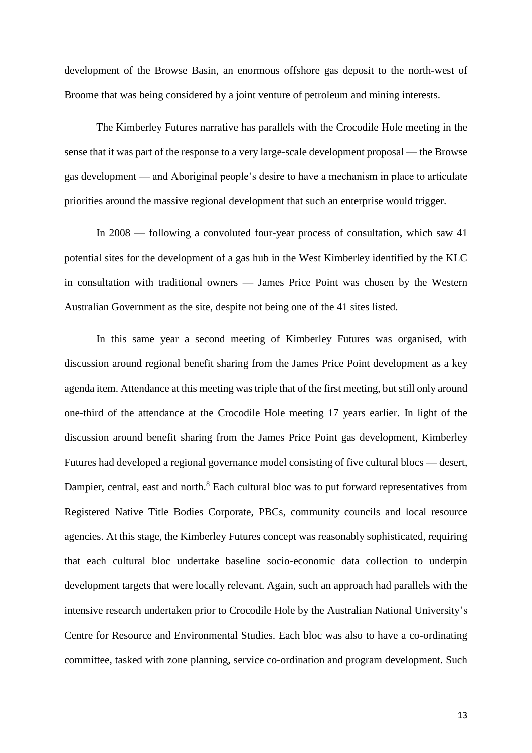development of the Browse Basin, an enormous offshore gas deposit to the north-west of Broome that was being considered by a joint venture of petroleum and mining interests.

The Kimberley Futures narrative has parallels with the Crocodile Hole meeting in the sense that it was part of the response to a very large-scale development proposal — the Browse gas development — and Aboriginal people's desire to have a mechanism in place to articulate priorities around the massive regional development that such an enterprise would trigger.

In 2008 — following a convoluted four-year process of consultation, which saw 41 potential sites for the development of a gas hub in the West Kimberley identified by the KLC in consultation with traditional owners — James Price Point was chosen by the Western Australian Government as the site, despite not being one of the 41 sites listed.

In this same year a second meeting of Kimberley Futures was organised, with discussion around regional benefit sharing from the James Price Point development as a key agenda item. Attendance at this meeting was triple that of the first meeting, but still only around one-third of the attendance at the Crocodile Hole meeting 17 years earlier. In light of the discussion around benefit sharing from the James Price Point gas development, Kimberley Futures had developed a regional governance model consisting of five cultural blocs — desert, Dampier, central, east and north.<sup>8</sup> Each cultural bloc was to put forward representatives from Registered Native Title Bodies Corporate, PBCs, community councils and local resource agencies. At this stage, the Kimberley Futures concept was reasonably sophisticated, requiring that each cultural bloc undertake baseline socio-economic data collection to underpin development targets that were locally relevant. Again, such an approach had parallels with the intensive research undertaken prior to Crocodile Hole by the Australian National University's Centre for Resource and Environmental Studies. Each bloc was also to have a co-ordinating committee, tasked with zone planning, service co-ordination and program development. Such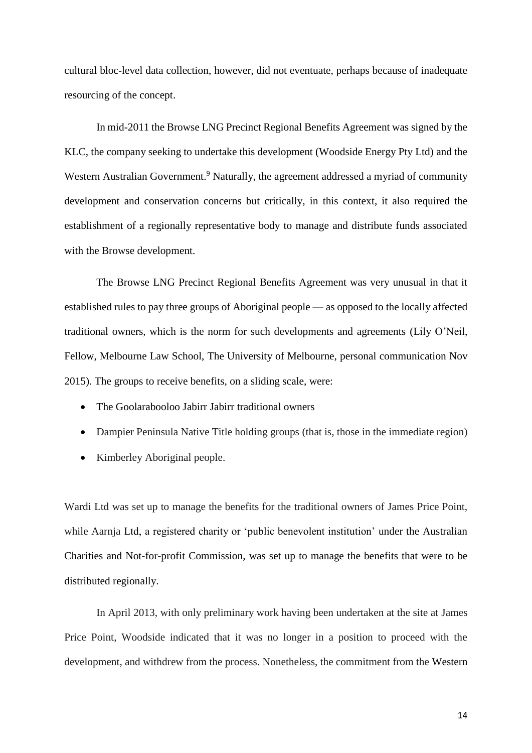cultural bloc-level data collection, however, did not eventuate, perhaps because of inadequate resourcing of the concept.

In mid-2011 the Browse LNG Precinct Regional Benefits Agreement was signed by the KLC, the company seeking to undertake this development (Woodside Energy Pty Ltd) and the Western Australian Government.<sup>9</sup> Naturally, the agreement addressed a myriad of community development and conservation concerns but critically, in this context, it also required the establishment of a regionally representative body to manage and distribute funds associated with the Browse development.

The Browse LNG Precinct Regional Benefits Agreement was very unusual in that it established rules to pay three groups of Aboriginal people — as opposed to the locally affected traditional owners, which is the norm for such developments and agreements (Lily O'Neil, Fellow, Melbourne Law School, The University of Melbourne, personal communication Nov 2015). The groups to receive benefits, on a sliding scale, were:

- The Goolarabooloo Jabirr Jabirr traditional owners
- Dampier Peninsula Native Title holding groups (that is, those in the immediate region)
- Kimberley Aboriginal people.

Wardi Ltd was set up to manage the benefits for the traditional owners of James Price Point, while Aarnja Ltd, a registered charity or 'public benevolent institution' under the Australian Charities and Not-for-profit Commission, was set up to manage the benefits that were to be distributed regionally.

In April 2013, with only preliminary work having been undertaken at the site at James Price Point, Woodside indicated that it was no longer in a position to proceed with the development, and withdrew from the process. Nonetheless, the commitment from the Western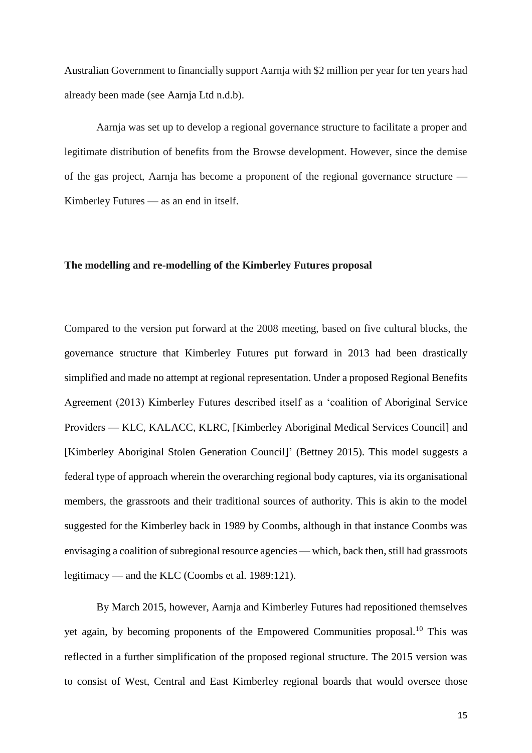Australian Government to financially support Aarnja with \$2 million per year for ten years had already been made (see Aarnja Ltd n.d.b).

Aarnja was set up to develop a regional governance structure to facilitate a proper and legitimate distribution of benefits from the Browse development. However, since the demise of the gas project, Aarnja has become a proponent of the regional governance structure — Kimberley Futures — as an end in itself.

#### **The modelling and re-modelling of the Kimberley Futures proposal**

Compared to the version put forward at the 2008 meeting, based on five cultural blocks, the governance structure that Kimberley Futures put forward in 2013 had been drastically simplified and made no attempt at regional representation. Under a proposed Regional Benefits Agreement (2013) Kimberley Futures described itself as a 'coalition of Aboriginal Service Providers — KLC, KALACC, KLRC, [Kimberley Aboriginal Medical Services Council] and [Kimberley Aboriginal Stolen Generation Council]' (Bettney 2015). This model suggests a federal type of approach wherein the overarching regional body captures, via its organisational members, the grassroots and their traditional sources of authority. This is akin to the model suggested for the Kimberley back in 1989 by Coombs, although in that instance Coombs was envisaging a coalition of subregional resource agencies — which, back then, still had grassroots legitimacy — and the KLC (Coombs et al. 1989:121).

By March 2015, however, Aarnja and Kimberley Futures had repositioned themselves yet again, by becoming proponents of the Empowered Communities proposal.<sup>10</sup> This was reflected in a further simplification of the proposed regional structure. The 2015 version was to consist of West, Central and East Kimberley regional boards that would oversee those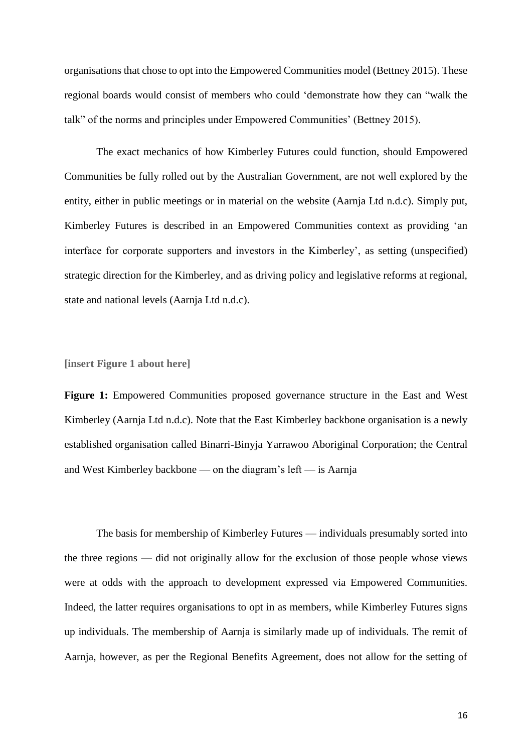organisations that chose to opt into the Empowered Communities model (Bettney 2015). These regional boards would consist of members who could 'demonstrate how they can "walk the talk" of the norms and principles under Empowered Communities' (Bettney 2015).

The exact mechanics of how Kimberley Futures could function, should Empowered Communities be fully rolled out by the Australian Government, are not well explored by the entity, either in public meetings or in material on the website (Aarnja Ltd n.d.c). Simply put, Kimberley Futures is described in an Empowered Communities context as providing 'an interface for corporate supporters and investors in the Kimberley', as setting (unspecified) strategic direction for the Kimberley, and as driving policy and legislative reforms at regional, state and national levels (Aarnja Ltd n.d.c).

#### **[insert Figure 1 about here]**

**Figure 1:** Empowered Communities proposed governance structure in the East and West Kimberley (Aarnja Ltd n.d.c). Note that the East Kimberley backbone organisation is a newly established organisation called Binarri-Binyja Yarrawoo Aboriginal Corporation; the Central and West Kimberley backbone — on the diagram's left — is Aarnja

The basis for membership of Kimberley Futures — individuals presumably sorted into the three regions — did not originally allow for the exclusion of those people whose views were at odds with the approach to development expressed via Empowered Communities. Indeed, the latter requires organisations to opt in as members, while Kimberley Futures signs up individuals. The membership of Aarnja is similarly made up of individuals. The remit of Aarnja, however, as per the Regional Benefits Agreement, does not allow for the setting of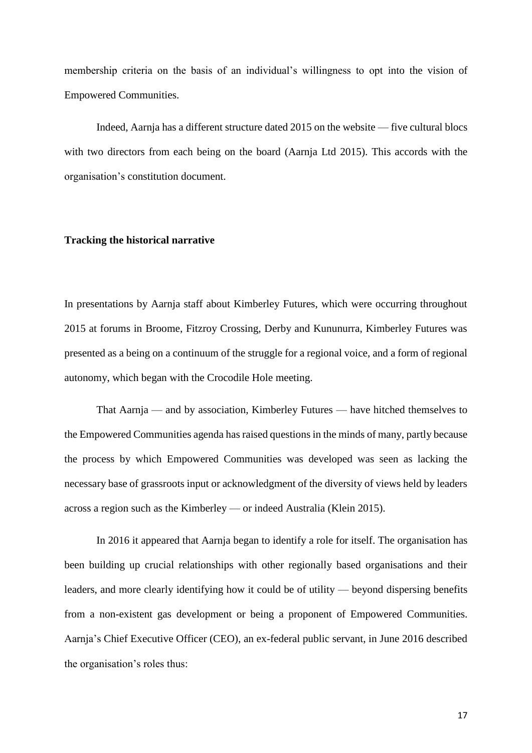membership criteria on the basis of an individual's willingness to opt into the vision of Empowered Communities.

Indeed, Aarnja has a different structure dated 2015 on the website — five cultural blocs with two directors from each being on the board (Aarnja Ltd 2015). This accords with the organisation's constitution document.

#### **Tracking the historical narrative**

In presentations by Aarnja staff about Kimberley Futures, which were occurring throughout 2015 at forums in Broome, Fitzroy Crossing, Derby and Kununurra, Kimberley Futures was presented as a being on a continuum of the struggle for a regional voice, and a form of regional autonomy, which began with the Crocodile Hole meeting.

That Aarnja — and by association, Kimberley Futures — have hitched themselves to the Empowered Communities agenda has raised questions in the minds of many, partly because the process by which Empowered Communities was developed was seen as lacking the necessary base of grassroots input or acknowledgment of the diversity of views held by leaders across a region such as the Kimberley — or indeed Australia (Klein 2015).

In 2016 it appeared that Aarnja began to identify a role for itself. The organisation has been building up crucial relationships with other regionally based organisations and their leaders, and more clearly identifying how it could be of utility — beyond dispersing benefits from a non-existent gas development or being a proponent of Empowered Communities. Aarnja's Chief Executive Officer (CEO), an ex-federal public servant, in June 2016 described the organisation's roles thus: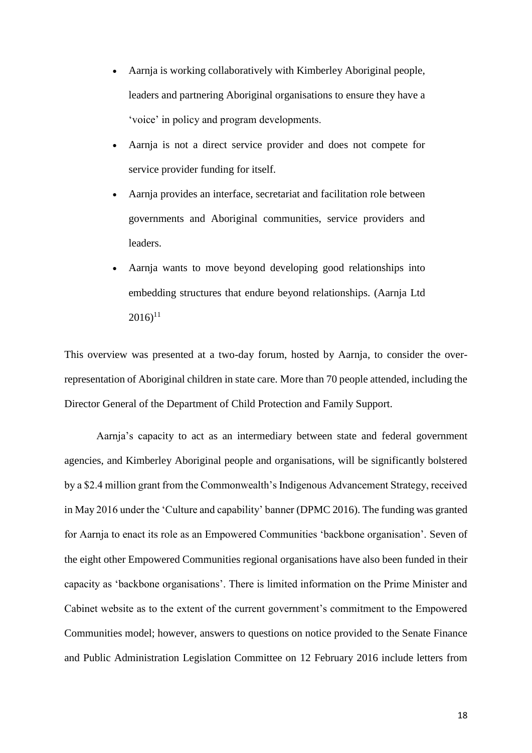- Aarnja is working collaboratively with Kimberley Aboriginal people, leaders and partnering Aboriginal organisations to ensure they have a 'voice' in policy and program developments.
- Aarnja is not a direct service provider and does not compete for service provider funding for itself.
- Aarnja provides an interface, secretariat and facilitation role between governments and Aboriginal communities, service providers and leaders.
- Aarnja wants to move beyond developing good relationships into embedding structures that endure beyond relationships. (Aarnja Ltd  $2016$ <sup>11</sup>

This overview was presented at a two-day forum, hosted by Aarnja, to consider the overrepresentation of Aboriginal children in state care. More than 70 people attended, including the Director General of the Department of Child Protection and Family Support.

Aarnja's capacity to act as an intermediary between state and federal government agencies, and Kimberley Aboriginal people and organisations, will be significantly bolstered by a \$2.4 million grant from the Commonwealth's Indigenous Advancement Strategy, received in May 2016 under the 'Culture and capability' banner (DPMC 2016). The funding was granted for Aarnja to enact its role as an Empowered Communities 'backbone organisation'. Seven of the eight other Empowered Communities regional organisations have also been funded in their capacity as 'backbone organisations'. There is limited information on the Prime Minister and Cabinet website as to the extent of the current government's commitment to the Empowered Communities model; however, answers to questions on notice provided to the Senate Finance and Public Administration Legislation Committee on 12 February 2016 include letters from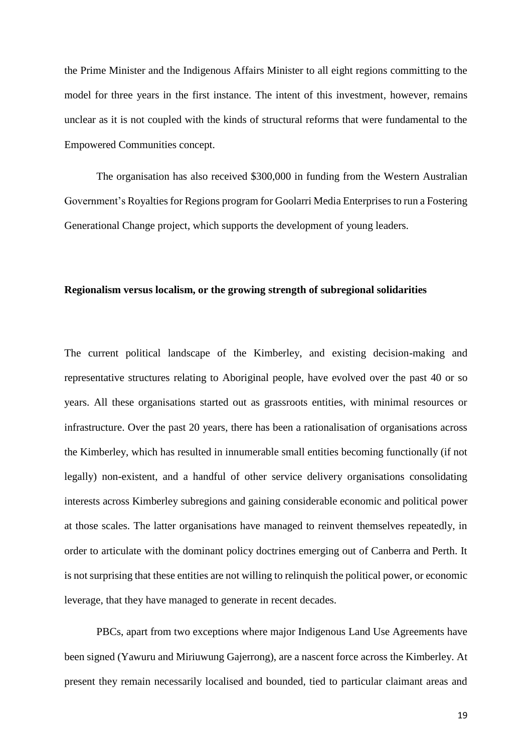the Prime Minister and the Indigenous Affairs Minister to all eight regions committing to the model for three years in the first instance. The intent of this investment, however, remains unclear as it is not coupled with the kinds of structural reforms that were fundamental to the Empowered Communities concept.

The organisation has also received \$300,000 in funding from the Western Australian Government's Royalties for Regions program for Goolarri Media Enterprises to run a Fostering Generational Change project, which supports the development of young leaders.

## **Regionalism versus localism, or the growing strength of subregional solidarities**

The current political landscape of the Kimberley, and existing decision-making and representative structures relating to Aboriginal people, have evolved over the past 40 or so years. All these organisations started out as grassroots entities, with minimal resources or infrastructure. Over the past 20 years, there has been a rationalisation of organisations across the Kimberley, which has resulted in innumerable small entities becoming functionally (if not legally) non-existent, and a handful of other service delivery organisations consolidating interests across Kimberley subregions and gaining considerable economic and political power at those scales. The latter organisations have managed to reinvent themselves repeatedly, in order to articulate with the dominant policy doctrines emerging out of Canberra and Perth. It is not surprising that these entities are not willing to relinquish the political power, or economic leverage, that they have managed to generate in recent decades.

PBCs, apart from two exceptions where major Indigenous Land Use Agreements have been signed (Yawuru and Miriuwung Gajerrong), are a nascent force across the Kimberley. At present they remain necessarily localised and bounded, tied to particular claimant areas and

19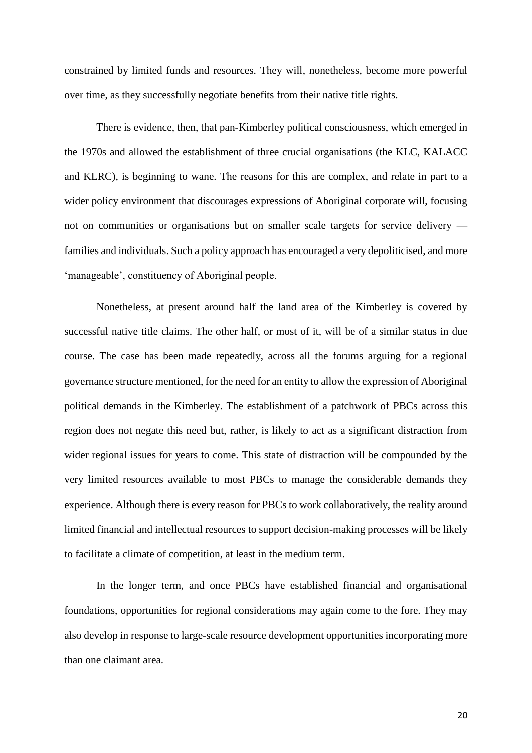constrained by limited funds and resources. They will, nonetheless, become more powerful over time, as they successfully negotiate benefits from their native title rights.

There is evidence, then, that pan-Kimberley political consciousness, which emerged in the 1970s and allowed the establishment of three crucial organisations (the KLC, KALACC and KLRC), is beginning to wane. The reasons for this are complex, and relate in part to a wider policy environment that discourages expressions of Aboriginal corporate will, focusing not on communities or organisations but on smaller scale targets for service delivery families and individuals. Such a policy approach has encouraged a very depoliticised, and more 'manageable', constituency of Aboriginal people.

Nonetheless, at present around half the land area of the Kimberley is covered by successful native title claims. The other half, or most of it, will be of a similar status in due course. The case has been made repeatedly, across all the forums arguing for a regional governance structure mentioned, for the need for an entity to allow the expression of Aboriginal political demands in the Kimberley. The establishment of a patchwork of PBCs across this region does not negate this need but, rather, is likely to act as a significant distraction from wider regional issues for years to come. This state of distraction will be compounded by the very limited resources available to most PBCs to manage the considerable demands they experience. Although there is every reason for PBCs to work collaboratively, the reality around limited financial and intellectual resources to support decision-making processes will be likely to facilitate a climate of competition, at least in the medium term.

In the longer term, and once PBCs have established financial and organisational foundations, opportunities for regional considerations may again come to the fore. They may also develop in response to large-scale resource development opportunities incorporating more than one claimant area.

20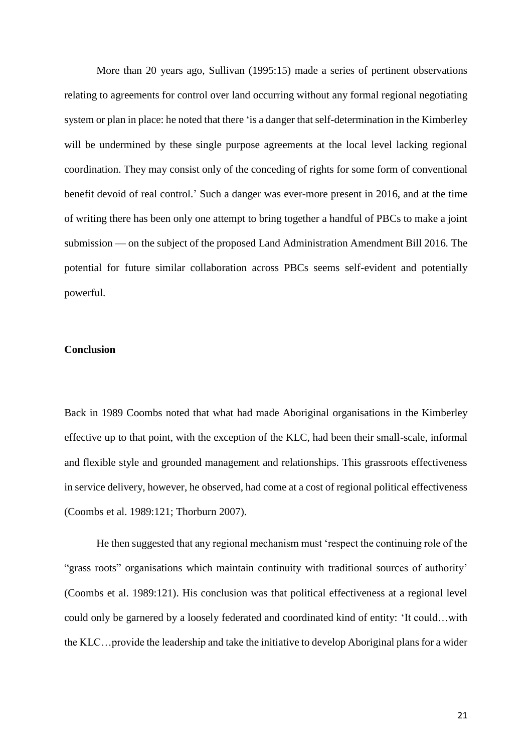More than 20 years ago, Sullivan (1995:15) made a series of pertinent observations relating to agreements for control over land occurring without any formal regional negotiating system or plan in place: he noted that there 'is a danger that self-determination in the Kimberley will be undermined by these single purpose agreements at the local level lacking regional coordination. They may consist only of the conceding of rights for some form of conventional benefit devoid of real control.' Such a danger was ever-more present in 2016, and at the time of writing there has been only one attempt to bring together a handful of PBCs to make a joint submission — on the subject of the proposed Land Administration Amendment Bill 2016*.* The potential for future similar collaboration across PBCs seems self-evident and potentially powerful.

#### **Conclusion**

Back in 1989 Coombs noted that what had made Aboriginal organisations in the Kimberley effective up to that point, with the exception of the KLC, had been their small-scale, informal and flexible style and grounded management and relationships. This grassroots effectiveness in service delivery, however, he observed, had come at a cost of regional political effectiveness (Coombs et al. 1989:121; Thorburn 2007).

He then suggested that any regional mechanism must 'respect the continuing role of the "grass roots" organisations which maintain continuity with traditional sources of authority' (Coombs et al. 1989:121). His conclusion was that political effectiveness at a regional level could only be garnered by a loosely federated and coordinated kind of entity: 'It could…with the KLC…provide the leadership and take the initiative to develop Aboriginal plans for a wider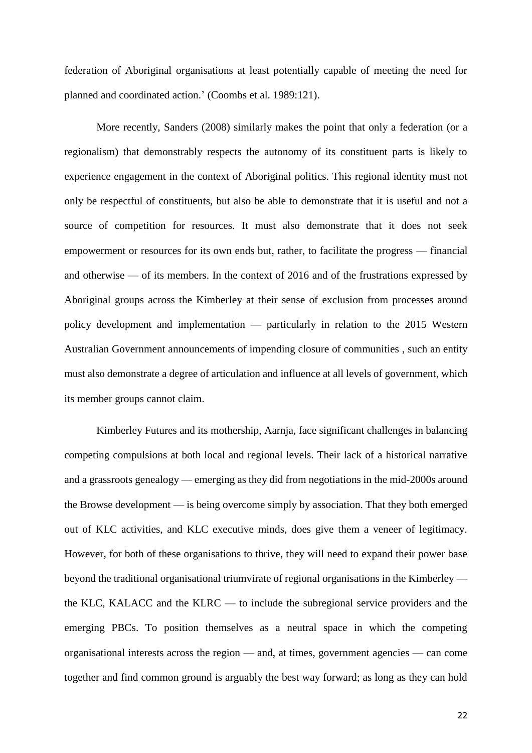federation of Aboriginal organisations at least potentially capable of meeting the need for planned and coordinated action.' (Coombs et al. 1989:121).

More recently, Sanders (2008) similarly makes the point that only a federation (or a regionalism) that demonstrably respects the autonomy of its constituent parts is likely to experience engagement in the context of Aboriginal politics. This regional identity must not only be respectful of constituents, but also be able to demonstrate that it is useful and not a source of competition for resources. It must also demonstrate that it does not seek empowerment or resources for its own ends but, rather, to facilitate the progress — financial and otherwise — of its members. In the context of 2016 and of the frustrations expressed by Aboriginal groups across the Kimberley at their sense of exclusion from processes around policy development and implementation — particularly in relation to the 2015 Western Australian Government announcements of impending closure of communities , such an entity must also demonstrate a degree of articulation and influence at all levels of government, which its member groups cannot claim.

Kimberley Futures and its mothership, Aarnja, face significant challenges in balancing competing compulsions at both local and regional levels. Their lack of a historical narrative and a grassroots genealogy — emerging as they did from negotiations in the mid-2000s around the Browse development — is being overcome simply by association. That they both emerged out of KLC activities, and KLC executive minds, does give them a veneer of legitimacy. However, for both of these organisations to thrive, they will need to expand their power base beyond the traditional organisational triumvirate of regional organisations in the Kimberley the KLC, KALACC and the KLRC — to include the subregional service providers and the emerging PBCs. To position themselves as a neutral space in which the competing organisational interests across the region — and, at times, government agencies — can come together and find common ground is arguably the best way forward; as long as they can hold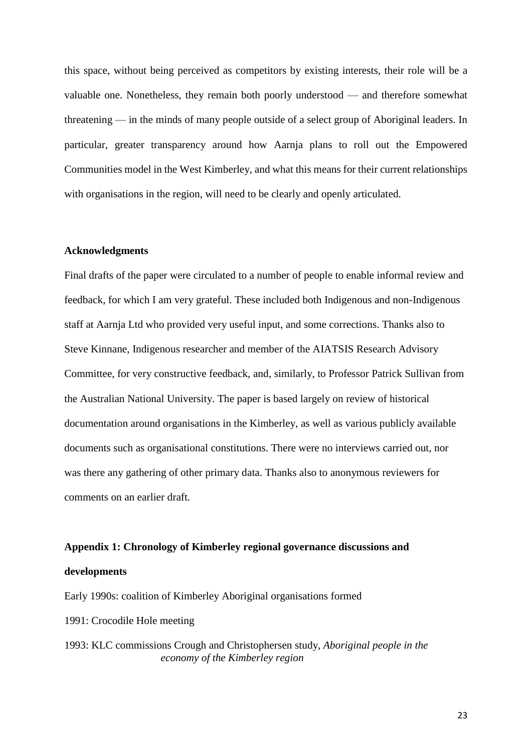this space, without being perceived as competitors by existing interests, their role will be a valuable one. Nonetheless, they remain both poorly understood — and therefore somewhat threatening — in the minds of many people outside of a select group of Aboriginal leaders. In particular, greater transparency around how Aarnja plans to roll out the Empowered Communities model in the West Kimberley, and what this means for their current relationships with organisations in the region, will need to be clearly and openly articulated.

#### **Acknowledgments**

Final drafts of the paper were circulated to a number of people to enable informal review and feedback, for which I am very grateful. These included both Indigenous and non-Indigenous staff at Aarnja Ltd who provided very useful input, and some corrections. Thanks also to Steve Kinnane, Indigenous researcher and member of the AIATSIS Research Advisory Committee, for very constructive feedback, and, similarly, to Professor Patrick Sullivan from the Australian National University. The paper is based largely on review of historical documentation around organisations in the Kimberley, as well as various publicly available documents such as organisational constitutions. There were no interviews carried out, nor was there any gathering of other primary data. Thanks also to anonymous reviewers for comments on an earlier draft.

#### **Appendix 1: Chronology of Kimberley regional governance discussions and**

#### **developments**

Early 1990s: coalition of Kimberley Aboriginal organisations formed

- 1991: Crocodile Hole meeting
- 1993: KLC commissions Crough and Christophersen study, *Aboriginal people in the economy of the Kimberley region*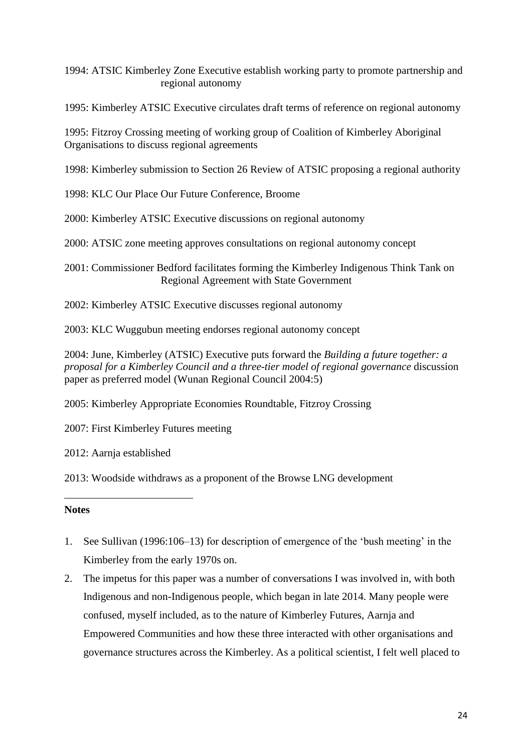1994: ATSIC Kimberley Zone Executive establish working party to promote partnership and regional autonomy

1995: Kimberley ATSIC Executive circulates draft terms of reference on regional autonomy

1995: Fitzroy Crossing meeting of working group of Coalition of Kimberley Aboriginal Organisations to discuss regional agreements

1998: Kimberley submission to Section 26 Review of ATSIC proposing a regional authority

1998: KLC Our Place Our Future Conference, Broome

2000: Kimberley ATSIC Executive discussions on regional autonomy

2000: ATSIC zone meeting approves consultations on regional autonomy concept

2001: Commissioner Bedford facilitates forming the Kimberley Indigenous Think Tank on Regional Agreement with State Government

2002: Kimberley ATSIC Executive discusses regional autonomy

2003: KLC Wuggubun meeting endorses regional autonomy concept

2004: June, Kimberley (ATSIC) Executive puts forward the *Building a future together: a proposal for a Kimberley Council and a three-tier model of regional governance* discussion paper as preferred model (Wunan Regional Council 2004:5)

2005: Kimberley Appropriate Economies Roundtable, Fitzroy Crossing

2007: First Kimberley Futures meeting

2012: Aarnja established

2013: Woodside withdraws as a proponent of the Browse LNG development

## **Notes**

1

- 1. See Sullivan (1996:106–13) for description of emergence of the 'bush meeting' in the Kimberley from the early 1970s on.
- 2. The impetus for this paper was a number of conversations I was involved in, with both Indigenous and non-Indigenous people, which began in late 2014. Many people were confused, myself included, as to the nature of Kimberley Futures, Aarnja and Empowered Communities and how these three interacted with other organisations and governance structures across the Kimberley. As a political scientist, I felt well placed to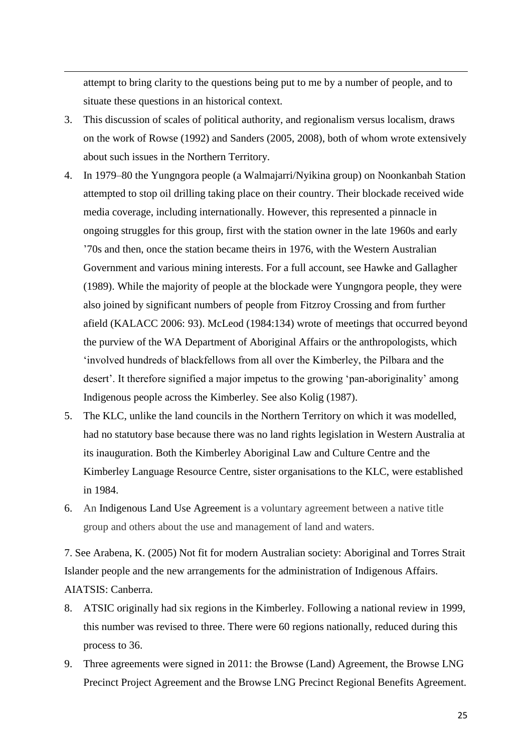attempt to bring clarity to the questions being put to me by a number of people, and to situate these questions in an historical context.

1

- 3. This discussion of scales of political authority, and regionalism versus localism, draws on the work of Rowse (1992) and Sanders (2005, 2008), both of whom wrote extensively about such issues in the Northern Territory.
- 4. In 1979–80 the Yungngora people (a Walmajarri/Nyikina group) on Noonkanbah Station attempted to stop oil drilling taking place on their country. Their blockade received wide media coverage, including internationally. However, this represented a pinnacle in ongoing struggles for this group, first with the station owner in the late 1960s and early '70s and then, once the station became theirs in 1976, with the Western Australian Government and various mining interests. For a full account, see Hawke and Gallagher (1989). While the majority of people at the blockade were Yungngora people, they were also joined by significant numbers of people from Fitzroy Crossing and from further afield (KALACC 2006: 93). McLeod (1984:134) wrote of meetings that occurred beyond the purview of the WA Department of Aboriginal Affairs or the anthropologists, which 'involved hundreds of blackfellows from all over the Kimberley, the Pilbara and the desert'. It therefore signified a major impetus to the growing 'pan-aboriginality' among Indigenous people across the Kimberley. See also Kolig (1987).
- 5. The KLC, unlike the land councils in the Northern Territory on which it was modelled, had no statutory base because there was no land rights legislation in Western Australia at its inauguration. Both the Kimberley Aboriginal Law and Culture Centre and the Kimberley Language Resource Centre, sister organisations to the KLC, were established in 1984.
- 6. An Indigenous Land Use Agreement is a voluntary agreement between a native title group and others about the use and management of land and waters.

7. See Arabena, K. (2005) Not fit for modern Australian society: Aboriginal and Torres Strait Islander people and the new arrangements for the administration of Indigenous Affairs. AIATSIS: Canberra.

- 8. ATSIC originally had six regions in the Kimberley. Following a national review in 1999, this number was revised to three. There were 60 regions nationally, reduced during this process to 36.
- 9. Three agreements were signed in 2011: the Browse (Land) Agreement, the Browse LNG Precinct Project Agreement and the Browse LNG Precinct Regional Benefits Agreement.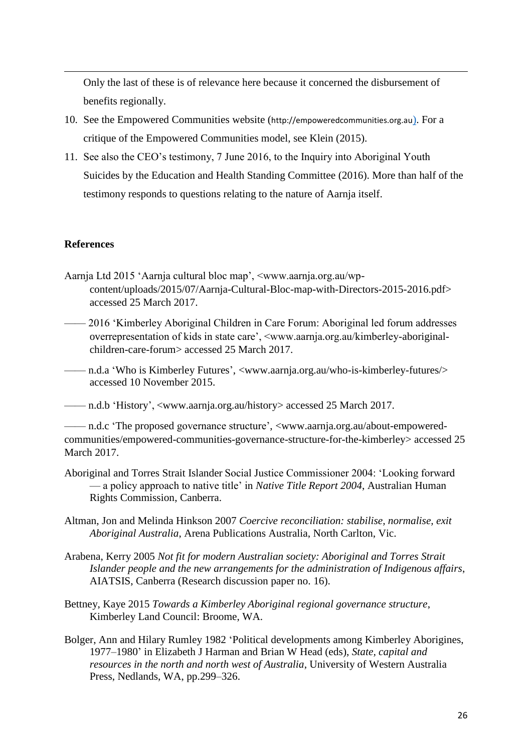Only the last of these is of relevance here because it concerned the disbursement of benefits regionally.

- 10. See the Empowered Communities website (http://empoweredcommunities.org.au). For a critique of the Empowered Communities model, see Klein (2015).
- 11. See also the CEO's testimony, 7 June 2016, to the Inquiry into Aboriginal Youth Suicides by the Education and Health Standing Committee (2016). More than half of the testimony responds to questions relating to the nature of Aarnja itself.

## **References**

1

- Aarnja Ltd 2015 'Aarnja cultural bloc map', <www.aarnja.org.au/wpcontent/uploads/2015/07/Aarnja-Cultural-Bloc-map-with-Directors-2015-2016.pdf> accessed 25 March 2017.
- —— 2016 'Kimberley Aboriginal Children in Care Forum: Aboriginal led forum addresses overrepresentation of kids in state care', <www.aarnja.org.au/kimberley-aboriginalchildren-care-forum> accessed 25 March 2017.
- —— n.d.a 'Who is Kimberley Futures', <www.aarnja.org.au/who-is-kimberley-futures/> accessed 10 November 2015.
- —— n.d.b 'History', <www.aarnja.org.au/history> accessed 25 March 2017.

—— n.d.c 'The proposed governance structure', <www.aarnja.org.au/about-empoweredcommunities/empowered-communities-governance-structure-for-the-kimberley> accessed 25 March 2017.

- Aboriginal and Torres Strait Islander Social Justice Commissioner 2004: 'Looking forward — a policy approach to native title' in *Native Title Report 2004*, Australian Human Rights Commission, Canberra.
- Altman, Jon and Melinda Hinkson 2007 *Coercive reconciliation: stabilise, normalise, exit Aboriginal Australia*, Arena Publications Australia, North Carlton, Vic.
- Arabena, Kerry 2005 *Not fit for modern Australian society: Aboriginal and Torres Strait Islander people and the new arrangements for the administration of Indigenous affairs*, AIATSIS, Canberra (Research discussion paper no. 16).
- Bettney, Kaye 2015 *Towards a Kimberley Aboriginal regional governance structure*, Kimberley Land Council: Broome, WA.
- Bolger, Ann and Hilary Rumley 1982 'Political developments among Kimberley Aborigines, 1977–1980' in Elizabeth J Harman and Brian W Head (eds), *State, capital and resources in the north and north west of Australia*, University of Western Australia Press, Nedlands, WA, pp.299–326.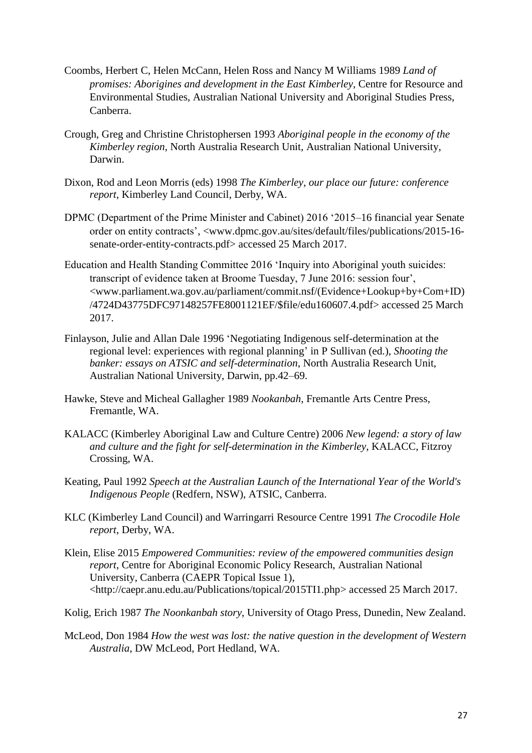- Coombs, Herbert C, Helen McCann, Helen Ross and Nancy M Williams 1989 *Land of promises: Aborigines and development in the East Kimberley*, Centre for Resource and Environmental Studies, Australian National University and Aboriginal Studies Press, Canberra.
- Crough, Greg and Christine Christophersen 1993 *Aboriginal people in the economy of the Kimberley region*, North Australia Research Unit, Australian National University, Darwin.
- Dixon, Rod and Leon Morris (eds) 1998 *The Kimberley, our place our future: conference report*, Kimberley Land Council, Derby, WA.
- DPMC (Department of the Prime Minister and Cabinet) 2016 '2015–16 financial year Senate order on entity contracts', <www.dpmc.gov.au/sites/default/files/publications/2015-16 senate-order-entity-contracts.pdf> accessed 25 March 2017.
- Education and Health Standing Committee 2016 'Inquiry into Aboriginal youth suicides: transcript of evidence taken at Broome Tuesday, 7 June 2016: session four', <www.parliament.wa.gov.au/parliament/commit.nsf/(Evidence+Lookup+by+Com+ID) /4724D43775DFC97148257FE8001121EF/\$file/edu160607.4.pdf> accessed 25 March 2017.
- Finlayson, Julie and Allan Dale 1996 'Negotiating Indigenous self-determination at the regional level: experiences with regional planning' in P Sullivan (ed.), *Shooting the banker: essays on ATSIC and self-determination*, North Australia Research Unit, Australian National University, Darwin, pp.42–69.
- Hawke, Steve and Micheal Gallagher 1989 *Nookanbah*, Fremantle Arts Centre Press, Fremantle, WA.
- KALACC (Kimberley Aboriginal Law and Culture Centre) 2006 *New legend: a story of law and culture and the fight for self-determination in the Kimberley*, KALACC, Fitzroy Crossing, WA.
- Keating, Paul 1992 *Speech at the Australian Launch of the International Year of the World's Indigenous People* (Redfern, NSW), ATSIC, Canberra.
- KLC (Kimberley Land Council) and Warringarri Resource Centre 1991 *The Crocodile Hole report*, Derby, WA.
- Klein, Elise 2015 *Empowered Communities: review of the empowered communities design report*, Centre for Aboriginal Economic Policy Research, Australian National University, Canberra (CAEPR Topical Issue 1), <http://caepr.anu.edu.au/Publications/topical/2015TI1.php> accessed 25 March 2017.
- Kolig, Erich 1987 *The Noonkanbah story*, University of Otago Press, Dunedin, New Zealand.
- McLeod, Don 1984 *How the west was lost: the native question in the development of Western Australia*, DW McLeod, Port Hedland, WA.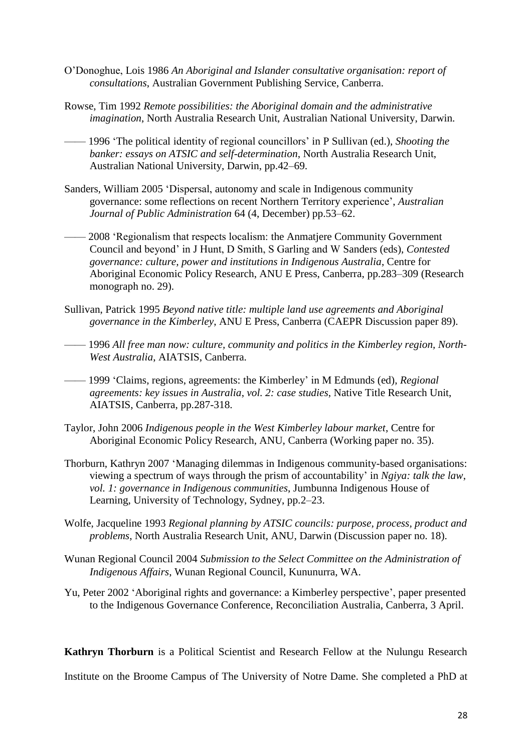- O'Donoghue, Lois 1986 *An Aboriginal and Islander consultative organisation: report of consultations*, Australian Government Publishing Service, Canberra.
- Rowse, Tim 1992 *Remote possibilities: the Aboriginal domain and the administrative imagination*, North Australia Research Unit, Australian National University, Darwin.
- —— 1996 'The political identity of regional councillors' in P Sullivan (ed.), *Shooting the banker: essays on ATSIC and self-determination*, North Australia Research Unit, Australian National University, Darwin, pp.42–69.
- Sanders, William 2005 'Dispersal, autonomy and scale in Indigenous community governance: some reflections on recent Northern Territory experience', *Australian Journal of Public Administration* 64 (4, December) pp.53–62.
- —— 2008 'Regionalism that respects localism: the Anmatjere Community Government Council and beyond' in J Hunt, D Smith, S Garling and W Sanders (eds), *Contested governance: culture, power and institutions in Indigenous Australia*, Centre for Aboriginal Economic Policy Research, ANU E Press, Canberra, pp.283–309 (Research monograph no. 29).
- Sullivan, Patrick 1995 *Beyond native title: multiple land use agreements and Aboriginal governance in the Kimberley*, ANU E Press, Canberra (CAEPR Discussion paper 89).
- —— 1996 *All free man now: culture, community and politics in the Kimberley region, North-West Australia*, AIATSIS, Canberra.
- —— 1999 'Claims, regions, agreements: the Kimberley' in M Edmunds (ed), *Regional agreements: key issues in Australia*, *vol. 2: case studies*, Native Title Research Unit, AIATSIS, Canberra, pp.287-318.
- Taylor, John 2006 *Indigenous people in the West Kimberley labour market*, Centre for Aboriginal Economic Policy Research, ANU, Canberra (Working paper no. 35).
- Thorburn, Kathryn 2007 'Managing dilemmas in Indigenous community-based organisations: viewing a spectrum of ways through the prism of accountability' in *Ngiya: talk the law*, *vol. 1: governance in Indigenous communities*, Jumbunna Indigenous House of Learning, University of Technology, Sydney, pp.2–23.
- Wolfe, Jacqueline 1993 *Regional planning by ATSIC councils: purpose, process, product and problems*, North Australia Research Unit, ANU, Darwin (Discussion paper no. 18).
- Wunan Regional Council 2004 *Submission to the Select Committee on the Administration of Indigenous Affairs*, Wunan Regional Council, Kununurra, WA.
- Yu, Peter 2002 'Aboriginal rights and governance: a Kimberley perspective', paper presented to the Indigenous Governance Conference, Reconciliation Australia, Canberra, 3 April.

**Kathryn Thorburn** is a Political Scientist and Research Fellow at the Nulungu Research

Institute on the Broome Campus of The University of Notre Dame. She completed a PhD at